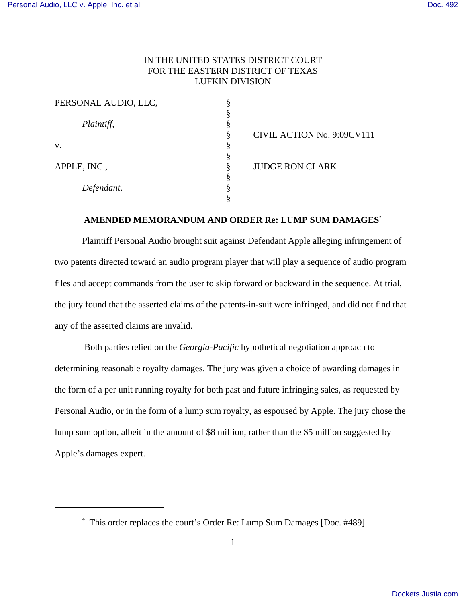# IN THE UNITED STATES DISTRICT COURT FOR THE EASTERN DISTRICT OF TEXAS LUFKIN DIVISION

| PERSONAL AUDIO, LLC, |        |                            |
|----------------------|--------|----------------------------|
|                      |        |                            |
| Plaintiff,           | .,     |                            |
|                      | 8      | CIVIL ACTION No. 9:09CV111 |
| v.                   | ∩      |                            |
|                      | o      |                            |
| APPLE, INC.,         |        | <b>JUDGE RON CLARK</b>     |
|                      | ↷<br>А |                            |
| Defendant.           |        |                            |
|                      |        |                            |

## **AMENDED MEMORANDUM AND ORDER Re: LUMP SUM DAMAGES**\*

Plaintiff Personal Audio brought suit against Defendant Apple alleging infringement of two patents directed toward an audio program player that will play a sequence of audio program files and accept commands from the user to skip forward or backward in the sequence. At trial, the jury found that the asserted claims of the patents-in-suit were infringed, and did not find that any of the asserted claims are invalid.

 Both parties relied on the *Georgia-Pacific* hypothetical negotiation approach to determining reasonable royalty damages. The jury was given a choice of awarding damages in the form of a per unit running royalty for both past and future infringing sales, as requested by Personal Audio, or in the form of a lump sum royalty, as espoused by Apple. The jury chose the lump sum option, albeit in the amount of \$8 million, rather than the \$5 million suggested by Apple's damages expert.

<sup>\*</sup> This order replaces the court's Order Re: Lump Sum Damages [Doc. #489].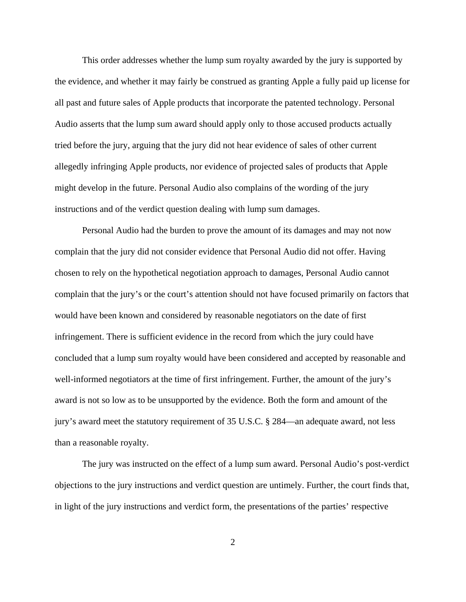This order addresses whether the lump sum royalty awarded by the jury is supported by the evidence, and whether it may fairly be construed as granting Apple a fully paid up license for all past and future sales of Apple products that incorporate the patented technology. Personal Audio asserts that the lump sum award should apply only to those accused products actually tried before the jury, arguing that the jury did not hear evidence of sales of other current allegedly infringing Apple products, nor evidence of projected sales of products that Apple might develop in the future. Personal Audio also complains of the wording of the jury instructions and of the verdict question dealing with lump sum damages.

Personal Audio had the burden to prove the amount of its damages and may not now complain that the jury did not consider evidence that Personal Audio did not offer. Having chosen to rely on the hypothetical negotiation approach to damages, Personal Audio cannot complain that the jury's or the court's attention should not have focused primarily on factors that would have been known and considered by reasonable negotiators on the date of first infringement. There is sufficient evidence in the record from which the jury could have concluded that a lump sum royalty would have been considered and accepted by reasonable and well-informed negotiators at the time of first infringement. Further, the amount of the jury's award is not so low as to be unsupported by the evidence. Both the form and amount of the jury's award meet the statutory requirement of 35 U.S.C. § 284—an adequate award, not less than a reasonable royalty.

The jury was instructed on the effect of a lump sum award. Personal Audio's post-verdict objections to the jury instructions and verdict question are untimely. Further, the court finds that, in light of the jury instructions and verdict form, the presentations of the parties' respective

2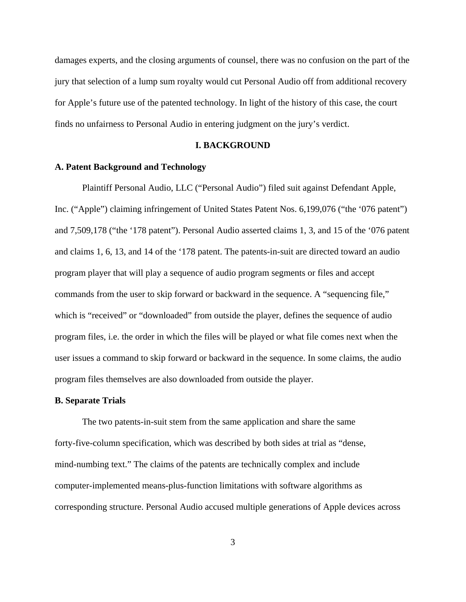damages experts, and the closing arguments of counsel, there was no confusion on the part of the jury that selection of a lump sum royalty would cut Personal Audio off from additional recovery for Apple's future use of the patented technology. In light of the history of this case, the court finds no unfairness to Personal Audio in entering judgment on the jury's verdict.

#### **I. BACKGROUND**

### **A. Patent Background and Technology**

Plaintiff Personal Audio, LLC ("Personal Audio") filed suit against Defendant Apple, Inc. ("Apple") claiming infringement of United States Patent Nos. 6,199,076 ("the '076 patent") and 7,509,178 ("the '178 patent"). Personal Audio asserted claims 1, 3, and 15 of the '076 patent and claims 1, 6, 13, and 14 of the '178 patent. The patents-in-suit are directed toward an audio program player that will play a sequence of audio program segments or files and accept commands from the user to skip forward or backward in the sequence. A "sequencing file," which is "received" or "downloaded" from outside the player, defines the sequence of audio program files, i.e. the order in which the files will be played or what file comes next when the user issues a command to skip forward or backward in the sequence. In some claims, the audio program files themselves are also downloaded from outside the player.

#### **B. Separate Trials**

The two patents-in-suit stem from the same application and share the same forty-five-column specification, which was described by both sides at trial as "dense, mind-numbing text." The claims of the patents are technically complex and include computer-implemented means-plus-function limitations with software algorithms as corresponding structure. Personal Audio accused multiple generations of Apple devices across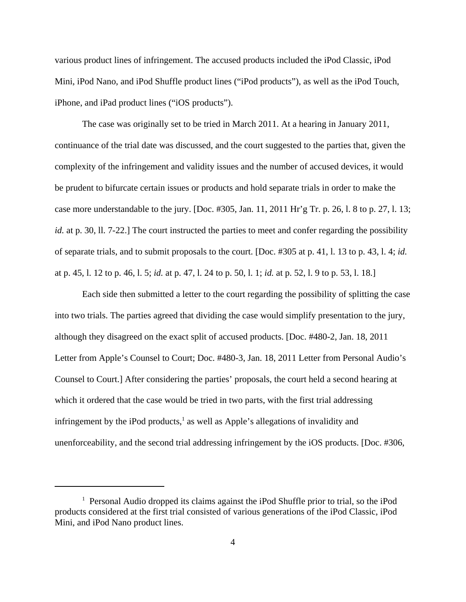various product lines of infringement. The accused products included the iPod Classic, iPod Mini, iPod Nano, and iPod Shuffle product lines ("iPod products"), as well as the iPod Touch, iPhone, and iPad product lines ("iOS products").

The case was originally set to be tried in March 2011. At a hearing in January 2011, continuance of the trial date was discussed, and the court suggested to the parties that, given the complexity of the infringement and validity issues and the number of accused devices, it would be prudent to bifurcate certain issues or products and hold separate trials in order to make the case more understandable to the jury. [Doc. #305, Jan. 11, 2011 Hr'g Tr. p. 26, l. 8 to p. 27, l. 13; *id.* at p. 30, 11, 7-22.] The court instructed the parties to meet and confer regarding the possibility of separate trials, and to submit proposals to the court. [Doc. #305 at p. 41, l. 13 to p. 43, l. 4; *id.* at p. 45, l. 12 to p. 46, l. 5; *id.* at p. 47, l. 24 to p. 50, l. 1; *id.* at p. 52, l. 9 to p. 53, l. 18.]

Each side then submitted a letter to the court regarding the possibility of splitting the case into two trials. The parties agreed that dividing the case would simplify presentation to the jury, although they disagreed on the exact split of accused products. [Doc. #480-2, Jan. 18, 2011 Letter from Apple's Counsel to Court; Doc. #480-3, Jan. 18, 2011 Letter from Personal Audio's Counsel to Court.] After considering the parties' proposals, the court held a second hearing at which it ordered that the case would be tried in two parts, with the first trial addressing infringement by the iPod products,<sup>1</sup> as well as Apple's allegations of invalidity and unenforceability, and the second trial addressing infringement by the iOS products. [Doc. #306,

<sup>&</sup>lt;sup>1</sup> Personal Audio dropped its claims against the iPod Shuffle prior to trial, so the iPod products considered at the first trial consisted of various generations of the iPod Classic, iPod Mini, and iPod Nano product lines.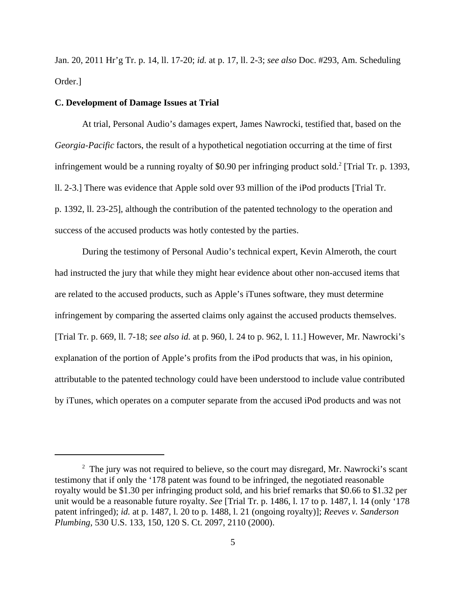Jan. 20, 2011 Hr'g Tr. p. 14, ll. 17-20; *id.* at p. 17, ll. 2-3; *see also* Doc. #293, Am. Scheduling Order.]

#### **C. Development of Damage Issues at Trial**

At trial, Personal Audio's damages expert, James Nawrocki, testified that, based on the *Georgia-Pacific* factors, the result of a hypothetical negotiation occurring at the time of first infringement would be a running royalty of \$0.90 per infringing product sold.<sup>2</sup> [Trial Tr. p. 1393, ll. 2-3.] There was evidence that Apple sold over 93 million of the iPod products [Trial Tr. p. 1392, ll. 23-25], although the contribution of the patented technology to the operation and success of the accused products was hotly contested by the parties.

During the testimony of Personal Audio's technical expert, Kevin Almeroth, the court had instructed the jury that while they might hear evidence about other non-accused items that are related to the accused products, such as Apple's iTunes software, they must determine infringement by comparing the asserted claims only against the accused products themselves. [Trial Tr. p. 669, ll. 7-18; *see also id.* at p. 960, l. 24 to p. 962, l. 11.] However, Mr. Nawrocki's explanation of the portion of Apple's profits from the iPod products that was, in his opinion, attributable to the patented technology could have been understood to include value contributed by iTunes, which operates on a computer separate from the accused iPod products and was not

 $2$  The jury was not required to believe, so the court may disregard, Mr. Nawrocki's scant testimony that if only the '178 patent was found to be infringed, the negotiated reasonable royalty would be \$1.30 per infringing product sold, and his brief remarks that \$0.66 to \$1.32 per unit would be a reasonable future royalty. *See* [Trial Tr. p. 1486, l. 17 to p. 1487, l. 14 (only '178 patent infringed); *id.* at p. 1487, l. 20 to p. 1488, l. 21 (ongoing royalty)]; *Reeves v. Sanderson Plumbing*, 530 U.S. 133, 150, 120 S. Ct. 2097, 2110 (2000).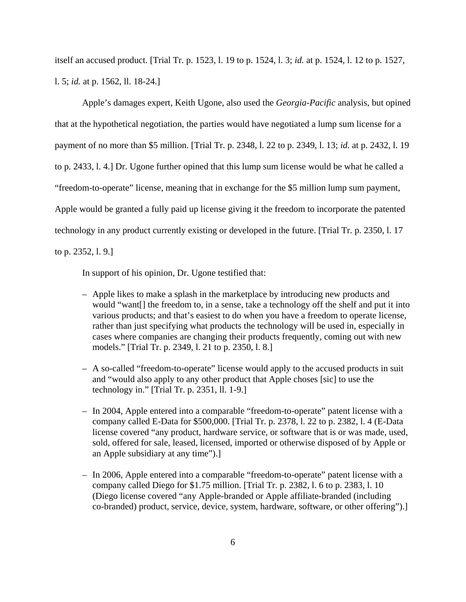itself an accused product. [Trial Tr. p. 1523, l. 19 to p. 1524, l. 3; *id.* at p. 1524, l. 12 to p. 1527, l. 5; *id.* at p. 1562, ll. 18-24.]

Apple's damages expert, Keith Ugone, also used the *Georgia-Pacific* analysis, but opined that at the hypothetical negotiation, the parties would have negotiated a lump sum license for a payment of no more than \$5 million. [Trial Tr. p. 2348, l. 22 to p. 2349, l. 13; *id.* at p. 2432, l. 19 to p. 2433, l. 4.] Dr. Ugone further opined that this lump sum license would be what he called a "freedom-to-operate" license, meaning that in exchange for the \$5 million lump sum payment, Apple would be granted a fully paid up license giving it the freedom to incorporate the patented technology in any product currently existing or developed in the future. [Trial Tr. p. 2350, l. 17 to p. 2352, l. 9.]

In support of his opinion, Dr. Ugone testified that:

- Apple likes to make a splash in the marketplace by introducing new products and would "want[] the freedom to, in a sense, take a technology off the shelf and put it into various products; and that's easiest to do when you have a freedom to operate license, rather than just specifying what products the technology will be used in, especially in cases where companies are changing their products frequently, coming out with new models." [Trial Tr. p. 2349, l. 21 to p. 2350, l. 8.]
- A so-called "freedom-to-operate" license would apply to the accused products in suit and "would also apply to any other product that Apple choses [sic] to use the technology in." [Trial Tr. p. 2351, ll. 1-9.]
- In 2004, Apple entered into a comparable "freedom-to-operate" patent license with a company called E-Data for \$500,000. [Trial Tr. p. 2378, l. 22 to p. 2382, l. 4 (E-Data license covered "any product, hardware service, or software that is or was made, used, sold, offered for sale, leased, licensed, imported or otherwise disposed of by Apple or an Apple subsidiary at any time").]
- In 2006, Apple entered into a comparable "freedom-to-operate" patent license with a company called Diego for \$1.75 million. [Trial Tr. p. 2382, l. 6 to p. 2383, l. 10 (Diego license covered "any Apple-branded or Apple affiliate-branded (including co-branded) product, service, device, system, hardware, software, or other offering").]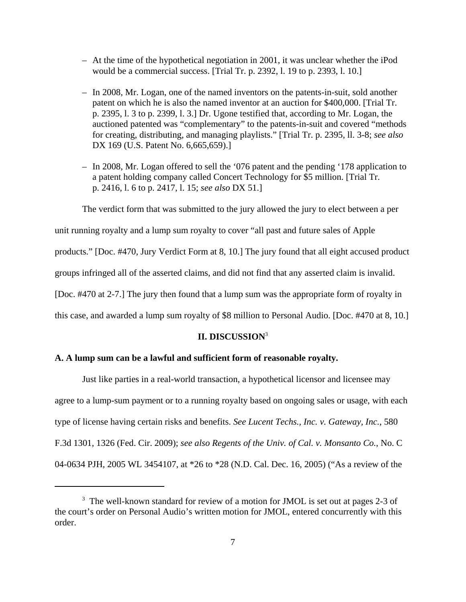- At the time of the hypothetical negotiation in 2001, it was unclear whether the iPod would be a commercial success. [Trial Tr. p. 2392, l. 19 to p. 2393, l. 10.]
- In 2008, Mr. Logan, one of the named inventors on the patents-in-suit, sold another patent on which he is also the named inventor at an auction for \$400,000. [Trial Tr. p. 2395, l. 3 to p. 2399, l. 3.] Dr. Ugone testified that, according to Mr. Logan, the auctioned patented was "complementary" to the patents-in-suit and covered "methods for creating, distributing, and managing playlists." [Trial Tr. p. 2395, ll. 3-8; *see also* DX 169 (U.S. Patent No. 6,665,659).]
- In 2008, Mr. Logan offered to sell the '076 patent and the pending '178 application to a patent holding company called Concert Technology for \$5 million. [Trial Tr. p. 2416, l. 6 to p. 2417, l. 15; *see also* DX 51.]

The verdict form that was submitted to the jury allowed the jury to elect between a per

unit running royalty and a lump sum royalty to cover "all past and future sales of Apple

products." [Doc. #470, Jury Verdict Form at 8, 10.] The jury found that all eight accused product

groups infringed all of the asserted claims, and did not find that any asserted claim is invalid.

[Doc. #470 at 2-7.] The jury then found that a lump sum was the appropriate form of royalty in

this case, and awarded a lump sum royalty of \$8 million to Personal Audio. [Doc. #470 at 8, 10.]

## **II. DISCUSSION**<sup>3</sup>

### **A. A lump sum can be a lawful and sufficient form of reasonable royalty.**

Just like parties in a real-world transaction, a hypothetical licensor and licensee may agree to a lump-sum payment or to a running royalty based on ongoing sales or usage, with each type of license having certain risks and benefits. *See Lucent Techs., Inc. v. Gateway, Inc.*, 580 F.3d 1301, 1326 (Fed. Cir. 2009); *see also Regents of the Univ. of Cal. v. Monsanto Co.*, No. C 04-0634 PJH, 2005 WL 3454107, at \*26 to \*28 (N.D. Cal. Dec. 16, 2005) ("As a review of the

<sup>&</sup>lt;sup>3</sup> The well-known standard for review of a motion for JMOL is set out at pages 2-3 of the court's order on Personal Audio's written motion for JMOL, entered concurrently with this order.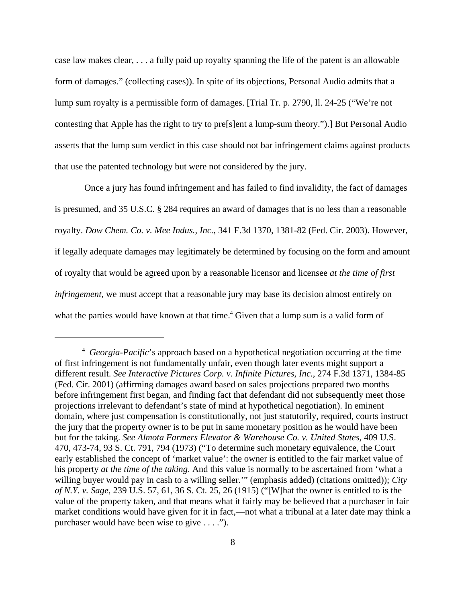case law makes clear, . . . a fully paid up royalty spanning the life of the patent is an allowable form of damages." (collecting cases)). In spite of its objections, Personal Audio admits that a lump sum royalty is a permissible form of damages. [Trial Tr. p. 2790, ll. 24-25 ("We're not contesting that Apple has the right to try to pre[s]ent a lump-sum theory.").] But Personal Audio asserts that the lump sum verdict in this case should not bar infringement claims against products that use the patented technology but were not considered by the jury.

 Once a jury has found infringement and has failed to find invalidity, the fact of damages is presumed, and 35 U.S.C. § 284 requires an award of damages that is no less than a reasonable royalty. *Dow Chem. Co. v. Mee Indus., Inc.*, 341 F.3d 1370, 1381-82 (Fed. Cir. 2003). However, if legally adequate damages may legitimately be determined by focusing on the form and amount of royalty that would be agreed upon by a reasonable licensor and licensee *at the time of first infringement*, we must accept that a reasonable jury may base its decision almost entirely on what the parties would have known at that time.<sup>4</sup> Given that a lump sum is a valid form of

<sup>4</sup> *Georgia-Pacific*'s approach based on a hypothetical negotiation occurring at the time of first infringement is not fundamentally unfair, even though later events might support a different result. *See Interactive Pictures Corp. v. Infinite Pictures, Inc.*, 274 F.3d 1371, 1384-85 (Fed. Cir. 2001) (affirming damages award based on sales projections prepared two months before infringement first began, and finding fact that defendant did not subsequently meet those projections irrelevant to defendant's state of mind at hypothetical negotiation). In eminent domain, where just compensation is constitutionally, not just statutorily, required, courts instruct the jury that the property owner is to be put in same monetary position as he would have been but for the taking. *See Almota Farmers Elevator & Warehouse Co. v. United States*, 409 U.S. 470, 473-74, 93 S. Ct. 791, 794 (1973) ("To determine such monetary equivalence, the Court early established the concept of 'market value': the owner is entitled to the fair market value of his property *at the time of the taking*. And this value is normally to be ascertained from 'what a willing buyer would pay in cash to a willing seller.'" (emphasis added) (citations omitted)); *City of N.Y. v. Sage*, 239 U.S. 57, 61, 36 S. Ct. 25, 26 (1915) ("[W]hat the owner is entitled to is the value of the property taken, and that means what it fairly may be believed that a purchaser in fair market conditions would have given for it in fact,—not what a tribunal at a later date may think a purchaser would have been wise to give . . . .").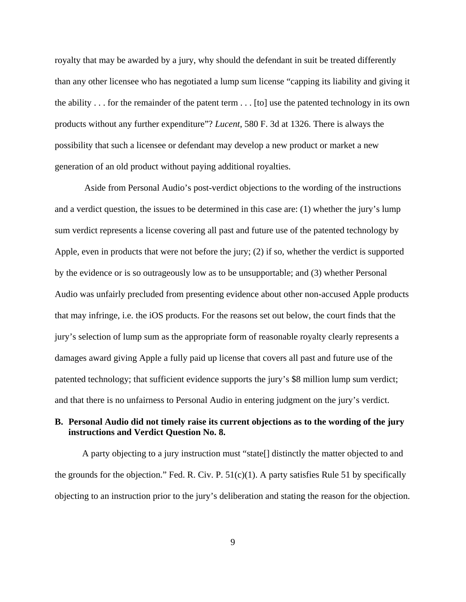royalty that may be awarded by a jury, why should the defendant in suit be treated differently than any other licensee who has negotiated a lump sum license "capping its liability and giving it the ability . . . for the remainder of the patent term . . . [to] use the patented technology in its own products without any further expenditure"? *Lucent*, 580 F. 3d at 1326. There is always the possibility that such a licensee or defendant may develop a new product or market a new generation of an old product without paying additional royalties.

 Aside from Personal Audio's post-verdict objections to the wording of the instructions and a verdict question, the issues to be determined in this case are: (1) whether the jury's lump sum verdict represents a license covering all past and future use of the patented technology by Apple, even in products that were not before the jury; (2) if so, whether the verdict is supported by the evidence or is so outrageously low as to be unsupportable; and (3) whether Personal Audio was unfairly precluded from presenting evidence about other non-accused Apple products that may infringe, i.e. the iOS products. For the reasons set out below, the court finds that the jury's selection of lump sum as the appropriate form of reasonable royalty clearly represents a damages award giving Apple a fully paid up license that covers all past and future use of the patented technology; that sufficient evidence supports the jury's \$8 million lump sum verdict; and that there is no unfairness to Personal Audio in entering judgment on the jury's verdict.

## **B. Personal Audio did not timely raise its current objections as to the wording of the jury instructions and Verdict Question No. 8.**

A party objecting to a jury instruction must "state[] distinctly the matter objected to and the grounds for the objection." Fed. R. Civ. P.  $51(c)(1)$ . A party satisfies Rule 51 by specifically objecting to an instruction prior to the jury's deliberation and stating the reason for the objection.

9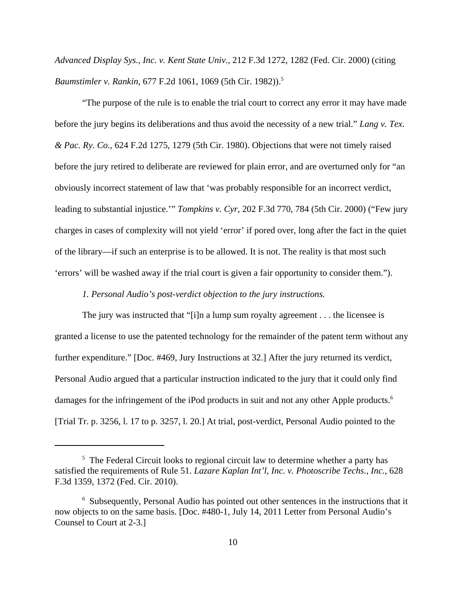*Advanced Display Sys., Inc. v. Kent State Univ.*, 212 F.3d 1272, 1282 (Fed. Cir. 2000) (citing *Baumstimler v. Rankin, 677 F.2d 1061, 1069 (5th Cir. 1982)).*<sup>5</sup>

"The purpose of the rule is to enable the trial court to correct any error it may have made before the jury begins its deliberations and thus avoid the necessity of a new trial." *Lang v. Tex. & Pac. Ry. Co.*, 624 F.2d 1275, 1279 (5th Cir. 1980). Objections that were not timely raised before the jury retired to deliberate are reviewed for plain error, and are overturned only for "an obviously incorrect statement of law that 'was probably responsible for an incorrect verdict, leading to substantial injustice.'" *Tompkins v. Cyr*, 202 F.3d 770, 784 (5th Cir. 2000) ("Few jury charges in cases of complexity will not yield 'error' if pored over, long after the fact in the quiet of the library—if such an enterprise is to be allowed. It is not. The reality is that most such 'errors' will be washed away if the trial court is given a fair opportunity to consider them.").

*1. Personal Audio's post-verdict objection to the jury instructions.*

The jury was instructed that "[i]n a lump sum royalty agreement . . . the licensee is granted a license to use the patented technology for the remainder of the patent term without any further expenditure." [Doc. #469, Jury Instructions at 32.] After the jury returned its verdict, Personal Audio argued that a particular instruction indicated to the jury that it could only find damages for the infringement of the iPod products in suit and not any other Apple products.<sup>6</sup> [Trial Tr. p. 3256, l. 17 to p. 3257, l. 20.] At trial, post-verdict, Personal Audio pointed to the

<sup>&</sup>lt;sup>5</sup> The Federal Circuit looks to regional circuit law to determine whether a party has satisfied the requirements of Rule 51. *Lazare Kaplan Int'l, Inc. v. Photoscribe Techs., Inc.*, 628 F.3d 1359, 1372 (Fed. Cir. 2010).

<sup>&</sup>lt;sup>6</sup> Subsequently, Personal Audio has pointed out other sentences in the instructions that it now objects to on the same basis. [Doc. #480-1, July 14, 2011 Letter from Personal Audio's Counsel to Court at 2-3.]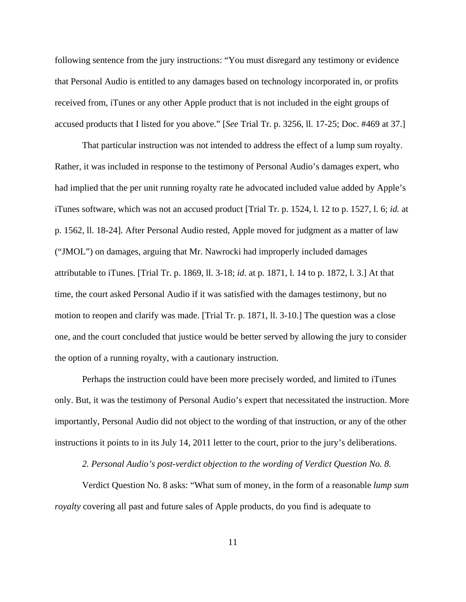following sentence from the jury instructions: "You must disregard any testimony or evidence that Personal Audio is entitled to any damages based on technology incorporated in, or profits received from, iTunes or any other Apple product that is not included in the eight groups of accused products that I listed for you above." [*See* Trial Tr. p. 3256, ll. 17-25; Doc. #469 at 37.]

That particular instruction was not intended to address the effect of a lump sum royalty. Rather, it was included in response to the testimony of Personal Audio's damages expert, who had implied that the per unit running royalty rate he advocated included value added by Apple's iTunes software, which was not an accused product [Trial Tr. p. 1524, l. 12 to p. 1527, l. 6; *id.* at p. 1562, ll. 18-24]. After Personal Audio rested, Apple moved for judgment as a matter of law ("JMOL") on damages, arguing that Mr. Nawrocki had improperly included damages attributable to iTunes. [Trial Tr. p. 1869, ll. 3-18; *id.* at p. 1871, l. 14 to p. 1872, l. 3.] At that time, the court asked Personal Audio if it was satisfied with the damages testimony, but no motion to reopen and clarify was made. [Trial Tr. p. 1871, ll. 3-10.] The question was a close one, and the court concluded that justice would be better served by allowing the jury to consider the option of a running royalty, with a cautionary instruction.

Perhaps the instruction could have been more precisely worded, and limited to iTunes only. But, it was the testimony of Personal Audio's expert that necessitated the instruction. More importantly, Personal Audio did not object to the wording of that instruction, or any of the other instructions it points to in its July 14, 2011 letter to the court, prior to the jury's deliberations.

*2. Personal Audio's post-verdict objection to the wording of Verdict Question No. 8.*

 Verdict Question No. 8 asks: "What sum of money, in the form of a reasonable *lump sum royalty* covering all past and future sales of Apple products, do you find is adequate to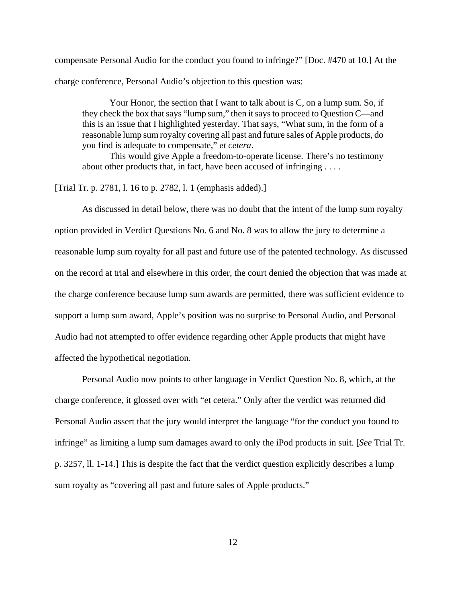compensate Personal Audio for the conduct you found to infringe?" [Doc. #470 at 10.] At the charge conference, Personal Audio's objection to this question was:

Your Honor, the section that I want to talk about is C, on a lump sum. So, if they check the box that says "lump sum," then it says to proceed to Question C—and this is an issue that I highlighted yesterday. That says, "What sum, in the form of a reasonable lump sum royalty covering all past and future sales of Apple products, do you find is adequate to compensate," *et cetera*.

This would give Apple a freedom-to-operate license. There's no testimony about other products that, in fact, have been accused of infringing . . . .

[Trial Tr. p. 2781, l. 16 to p. 2782, l. 1 (emphasis added).]

As discussed in detail below, there was no doubt that the intent of the lump sum royalty option provided in Verdict Questions No. 6 and No. 8 was to allow the jury to determine a reasonable lump sum royalty for all past and future use of the patented technology. As discussed on the record at trial and elsewhere in this order, the court denied the objection that was made at the charge conference because lump sum awards are permitted, there was sufficient evidence to support a lump sum award, Apple's position was no surprise to Personal Audio, and Personal Audio had not attempted to offer evidence regarding other Apple products that might have affected the hypothetical negotiation.

Personal Audio now points to other language in Verdict Question No. 8, which, at the charge conference, it glossed over with "et cetera." Only after the verdict was returned did Personal Audio assert that the jury would interpret the language "for the conduct you found to infringe" as limiting a lump sum damages award to only the iPod products in suit. [*See* Trial Tr. p. 3257, ll. 1-14.] This is despite the fact that the verdict question explicitly describes a lump sum royalty as "covering all past and future sales of Apple products."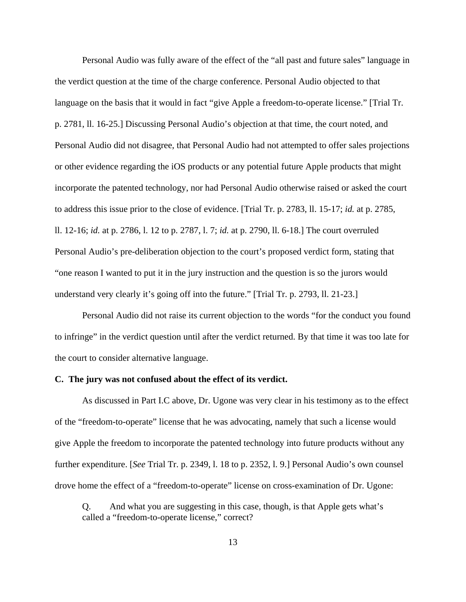Personal Audio was fully aware of the effect of the "all past and future sales" language in the verdict question at the time of the charge conference. Personal Audio objected to that language on the basis that it would in fact "give Apple a freedom-to-operate license." [Trial Tr. p. 2781, ll. 16-25.] Discussing Personal Audio's objection at that time, the court noted, and Personal Audio did not disagree, that Personal Audio had not attempted to offer sales projections or other evidence regarding the iOS products or any potential future Apple products that might incorporate the patented technology, nor had Personal Audio otherwise raised or asked the court to address this issue prior to the close of evidence. [Trial Tr. p. 2783, ll. 15-17; *id.* at p. 2785, ll. 12-16; *id.* at p. 2786, l. 12 to p. 2787, l. 7; *id.* at p. 2790, ll. 6-18.] The court overruled Personal Audio's pre-deliberation objection to the court's proposed verdict form, stating that "one reason I wanted to put it in the jury instruction and the question is so the jurors would understand very clearly it's going off into the future." [Trial Tr. p. 2793, ll. 21-23.]

Personal Audio did not raise its current objection to the words "for the conduct you found to infringe" in the verdict question until after the verdict returned. By that time it was too late for the court to consider alternative language.

#### **C. The jury was not confused about the effect of its verdict.**

As discussed in Part I.C above, Dr. Ugone was very clear in his testimony as to the effect of the "freedom-to-operate" license that he was advocating, namely that such a license would give Apple the freedom to incorporate the patented technology into future products without any further expenditure. [*See* Trial Tr. p. 2349, l. 18 to p. 2352, l. 9.] Personal Audio's own counsel drove home the effect of a "freedom-to-operate" license on cross-examination of Dr. Ugone:

Q. And what you are suggesting in this case, though, is that Apple gets what's called a "freedom-to-operate license," correct?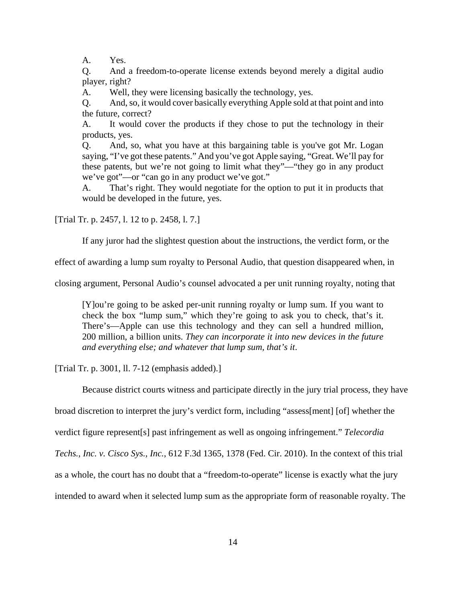A. Yes.

Q. And a freedom-to-operate license extends beyond merely a digital audio player, right?

A. Well, they were licensing basically the technology, yes.

Q. And, so, it would cover basically everything Apple sold at that point and into the future, correct?

A. It would cover the products if they chose to put the technology in their products, yes.

Q. And, so, what you have at this bargaining table is you've got Mr. Logan saying, "I've got these patents." And you've got Apple saying, "Great. We'll pay for these patents, but we're not going to limit what they"—"they go in any product we've got"—or "can go in any product we've got."

A. That's right. They would negotiate for the option to put it in products that would be developed in the future, yes.

[Trial Tr. p. 2457, l. 12 to p. 2458, l. 7.]

If any juror had the slightest question about the instructions, the verdict form, or the

effect of awarding a lump sum royalty to Personal Audio, that question disappeared when, in

closing argument, Personal Audio's counsel advocated a per unit running royalty, noting that

[Y]ou're going to be asked per-unit running royalty or lump sum. If you want to check the box "lump sum," which they're going to ask you to check, that's it. There's—Apple can use this technology and they can sell a hundred million, 200 million, a billion units. *They can incorporate it into new devices in the future and everything else; and whatever that lump sum, that's it*.

[Trial Tr. p. 3001, ll. 7-12 (emphasis added).]

Because district courts witness and participate directly in the jury trial process, they have

broad discretion to interpret the jury's verdict form, including "assess[ment] [of] whether the

verdict figure represent[s] past infringement as well as ongoing infringement." *Telecordia*

*Techs., Inc. v. Cisco Sys., Inc.*, 612 F.3d 1365, 1378 (Fed. Cir. 2010). In the context of this trial

as a whole, the court has no doubt that a "freedom-to-operate" license is exactly what the jury

intended to award when it selected lump sum as the appropriate form of reasonable royalty. The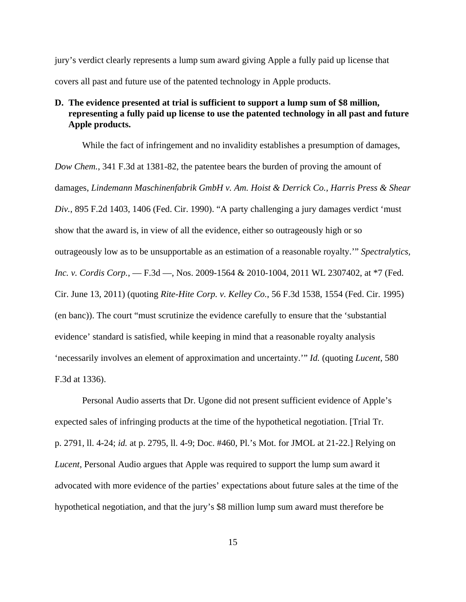jury's verdict clearly represents a lump sum award giving Apple a fully paid up license that covers all past and future use of the patented technology in Apple products.

## **D. The evidence presented at trial is sufficient to support a lump sum of \$8 million, representing a fully paid up license to use the patented technology in all past and future Apple products.**

While the fact of infringement and no invalidity establishes a presumption of damages, *Dow Chem.*, 341 F.3d at 1381-82, the patentee bears the burden of proving the amount of damages, *Lindemann Maschinenfabrik GmbH v. Am. Hoist & Derrick Co., Harris Press & Shear Div.*, 895 F.2d 1403, 1406 (Fed. Cir. 1990). "A party challenging a jury damages verdict 'must show that the award is, in view of all the evidence, either so outrageously high or so outrageously low as to be unsupportable as an estimation of a reasonable royalty.'" *Spectralytics, Inc. v. Cordis Corp.*, — F.3d —, Nos. 2009-1564 & 2010-1004, 2011 WL 2307402, at \*7 (Fed. Cir. June 13, 2011) (quoting *Rite-Hite Corp. v. Kelley Co.*, 56 F.3d 1538, 1554 (Fed. Cir. 1995) (en banc)). The court "must scrutinize the evidence carefully to ensure that the 'substantial evidence' standard is satisfied, while keeping in mind that a reasonable royalty analysis 'necessarily involves an element of approximation and uncertainty.'" *Id.* (quoting *Lucent*, 580 F.3d at 1336).

Personal Audio asserts that Dr. Ugone did not present sufficient evidence of Apple's expected sales of infringing products at the time of the hypothetical negotiation. [Trial Tr. p. 2791, ll. 4-24; *id.* at p. 2795, ll. 4-9; Doc. #460, Pl.'s Mot. for JMOL at 21-22.] Relying on *Lucent*, Personal Audio argues that Apple was required to support the lump sum award it advocated with more evidence of the parties' expectations about future sales at the time of the hypothetical negotiation, and that the jury's \$8 million lump sum award must therefore be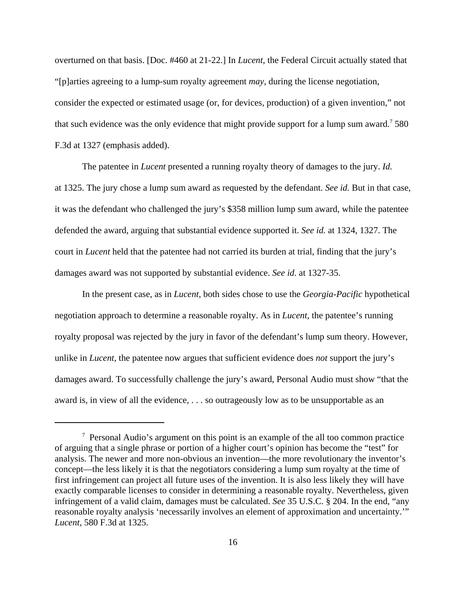overturned on that basis. [Doc. #460 at 21-22.] In *Lucent*, the Federal Circuit actually stated that "[p]arties agreeing to a lump-sum royalty agreement *may*, during the license negotiation, consider the expected or estimated usage (or, for devices, production) of a given invention," not that such evidence was the only evidence that might provide support for a lump sum award.<sup>7</sup> 580 F.3d at 1327 (emphasis added).

The patentee in *Lucent* presented a running royalty theory of damages to the jury. *Id.* at 1325. The jury chose a lump sum award as requested by the defendant. *See id.* But in that case, it was the defendant who challenged the jury's \$358 million lump sum award, while the patentee defended the award, arguing that substantial evidence supported it. *See id.* at 1324, 1327. The court in *Lucent* held that the patentee had not carried its burden at trial, finding that the jury's damages award was not supported by substantial evidence. *See id.* at 1327-35.

In the present case, as in *Lucent*, both sides chose to use the *Georgia-Pacific* hypothetical negotiation approach to determine a reasonable royalty. As in *Lucent*, the patentee's running royalty proposal was rejected by the jury in favor of the defendant's lump sum theory. However, unlike in *Lucent*, the patentee now argues that sufficient evidence does *not* support the jury's damages award. To successfully challenge the jury's award, Personal Audio must show "that the award is, in view of all the evidence, . . . so outrageously low as to be unsupportable as an

<sup>&</sup>lt;sup>7</sup> Personal Audio's argument on this point is an example of the all too common practice of arguing that a single phrase or portion of a higher court's opinion has become the "test" for analysis. The newer and more non-obvious an invention—the more revolutionary the inventor's concept—the less likely it is that the negotiators considering a lump sum royalty at the time of first infringement can project all future uses of the invention. It is also less likely they will have exactly comparable licenses to consider in determining a reasonable royalty. Nevertheless, given infringement of a valid claim, damages must be calculated. *See* 35 U.S.C. § 204. In the end, "any reasonable royalty analysis 'necessarily involves an element of approximation and uncertainty.'" *Lucent*, 580 F.3d at 1325.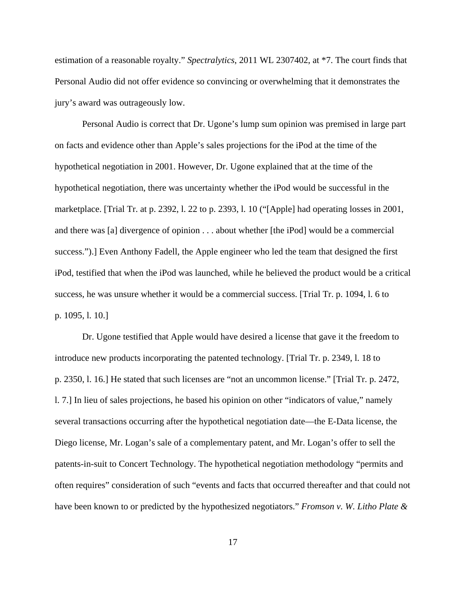estimation of a reasonable royalty." *Spectralytics*, 2011 WL 2307402, at \*7. The court finds that Personal Audio did not offer evidence so convincing or overwhelming that it demonstrates the jury's award was outrageously low.

Personal Audio is correct that Dr. Ugone's lump sum opinion was premised in large part on facts and evidence other than Apple's sales projections for the iPod at the time of the hypothetical negotiation in 2001. However, Dr. Ugone explained that at the time of the hypothetical negotiation, there was uncertainty whether the iPod would be successful in the marketplace. [Trial Tr. at p. 2392, l. 22 to p. 2393, l. 10 ("[Apple] had operating losses in 2001, and there was [a] divergence of opinion . . . about whether [the iPod] would be a commercial success.").] Even Anthony Fadell, the Apple engineer who led the team that designed the first iPod, testified that when the iPod was launched, while he believed the product would be a critical success, he was unsure whether it would be a commercial success. [Trial Tr. p. 1094, l. 6 to p. 1095, l. 10.]

Dr. Ugone testified that Apple would have desired a license that gave it the freedom to introduce new products incorporating the patented technology. [Trial Tr. p. 2349, l. 18 to p. 2350, l. 16.] He stated that such licenses are "not an uncommon license." [Trial Tr. p. 2472, l. 7.] In lieu of sales projections, he based his opinion on other "indicators of value," namely several transactions occurring after the hypothetical negotiation date—the E-Data license, the Diego license, Mr. Logan's sale of a complementary patent, and Mr. Logan's offer to sell the patents-in-suit to Concert Technology. The hypothetical negotiation methodology "permits and often requires" consideration of such "events and facts that occurred thereafter and that could not have been known to or predicted by the hypothesized negotiators." *Fromson v. W. Litho Plate &*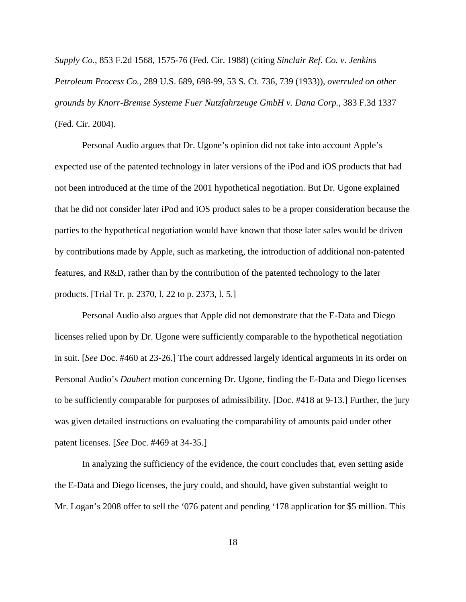*Supply Co.*, 853 F.2d 1568, 1575-76 (Fed. Cir. 1988) (citing *Sinclair Ref. Co. v. Jenkins Petroleum Process Co.*, 289 U.S. 689, 698-99, 53 S. Ct. 736, 739 (1933)), *overruled on other grounds by Knorr-Bremse Systeme Fuer Nutzfahrzeuge GmbH v. Dana Corp.*, 383 F.3d 1337 (Fed. Cir. 2004).

Personal Audio argues that Dr. Ugone's opinion did not take into account Apple's expected use of the patented technology in later versions of the iPod and iOS products that had not been introduced at the time of the 2001 hypothetical negotiation. But Dr. Ugone explained that he did not consider later iPod and iOS product sales to be a proper consideration because the parties to the hypothetical negotiation would have known that those later sales would be driven by contributions made by Apple, such as marketing, the introduction of additional non-patented features, and R&D, rather than by the contribution of the patented technology to the later products. [Trial Tr. p. 2370, l. 22 to p. 2373, l. 5.]

Personal Audio also argues that Apple did not demonstrate that the E-Data and Diego licenses relied upon by Dr. Ugone were sufficiently comparable to the hypothetical negotiation in suit. [*See* Doc. #460 at 23-26.] The court addressed largely identical arguments in its order on Personal Audio's *Daubert* motion concerning Dr. Ugone, finding the E-Data and Diego licenses to be sufficiently comparable for purposes of admissibility. [Doc. #418 at 9-13.] Further, the jury was given detailed instructions on evaluating the comparability of amounts paid under other patent licenses. [*See* Doc. #469 at 34-35.]

In analyzing the sufficiency of the evidence, the court concludes that, even setting aside the E-Data and Diego licenses, the jury could, and should, have given substantial weight to Mr. Logan's 2008 offer to sell the '076 patent and pending '178 application for \$5 million. This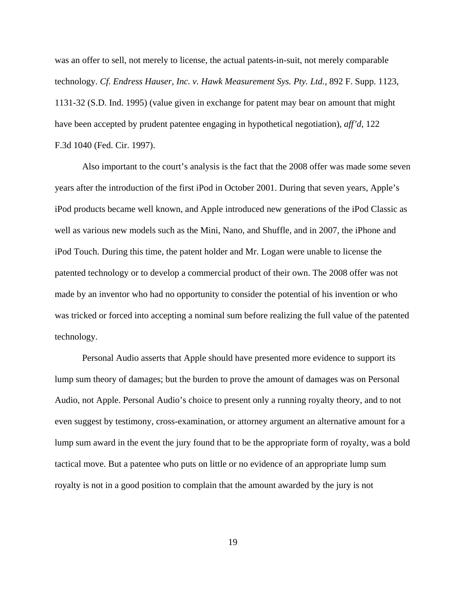was an offer to sell, not merely to license, the actual patents-in-suit, not merely comparable technology. *Cf. Endress Hauser, Inc. v. Hawk Measurement Sys. Pty. Ltd.*, 892 F. Supp. 1123, 1131-32 (S.D. Ind. 1995) (value given in exchange for patent may bear on amount that might have been accepted by prudent patentee engaging in hypothetical negotiation), *aff'd*, 122 F.3d 1040 (Fed. Cir. 1997).

Also important to the court's analysis is the fact that the 2008 offer was made some seven years after the introduction of the first iPod in October 2001. During that seven years, Apple's iPod products became well known, and Apple introduced new generations of the iPod Classic as well as various new models such as the Mini, Nano, and Shuffle, and in 2007, the iPhone and iPod Touch. During this time, the patent holder and Mr. Logan were unable to license the patented technology or to develop a commercial product of their own. The 2008 offer was not made by an inventor who had no opportunity to consider the potential of his invention or who was tricked or forced into accepting a nominal sum before realizing the full value of the patented technology.

Personal Audio asserts that Apple should have presented more evidence to support its lump sum theory of damages; but the burden to prove the amount of damages was on Personal Audio, not Apple. Personal Audio's choice to present only a running royalty theory, and to not even suggest by testimony, cross-examination, or attorney argument an alternative amount for a lump sum award in the event the jury found that to be the appropriate form of royalty, was a bold tactical move. But a patentee who puts on little or no evidence of an appropriate lump sum royalty is not in a good position to complain that the amount awarded by the jury is not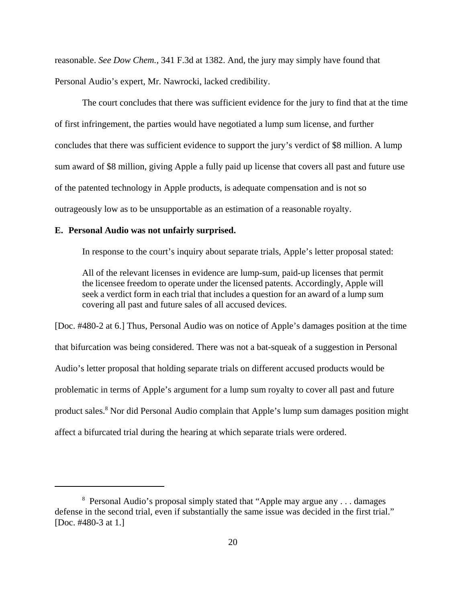reasonable. *See Dow Chem.*, 341 F.3d at 1382. And, the jury may simply have found that Personal Audio's expert, Mr. Nawrocki, lacked credibility.

The court concludes that there was sufficient evidence for the jury to find that at the time of first infringement, the parties would have negotiated a lump sum license, and further concludes that there was sufficient evidence to support the jury's verdict of \$8 million. A lump sum award of \$8 million, giving Apple a fully paid up license that covers all past and future use of the patented technology in Apple products, is adequate compensation and is not so outrageously low as to be unsupportable as an estimation of a reasonable royalty.

### **E. Personal Audio was not unfairly surprised.**

In response to the court's inquiry about separate trials, Apple's letter proposal stated:

All of the relevant licenses in evidence are lump-sum, paid-up licenses that permit the licensee freedom to operate under the licensed patents. Accordingly, Apple will seek a verdict form in each trial that includes a question for an award of a lump sum covering all past and future sales of all accused devices.

[Doc. #480-2 at 6.] Thus, Personal Audio was on notice of Apple's damages position at the time that bifurcation was being considered. There was not a bat-squeak of a suggestion in Personal Audio's letter proposal that holding separate trials on different accused products would be problematic in terms of Apple's argument for a lump sum royalty to cover all past and future product sales.<sup>8</sup> Nor did Personal Audio complain that Apple's lump sum damages position might affect a bifurcated trial during the hearing at which separate trials were ordered.

<sup>&</sup>lt;sup>8</sup> Personal Audio's proposal simply stated that "Apple may argue any . . . damages defense in the second trial, even if substantially the same issue was decided in the first trial." [Doc. #480-3 at 1.]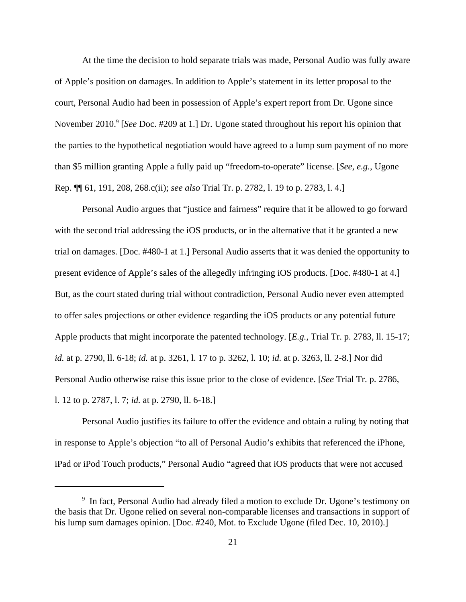At the time the decision to hold separate trials was made, Personal Audio was fully aware of Apple's position on damages. In addition to Apple's statement in its letter proposal to the court, Personal Audio had been in possession of Apple's expert report from Dr. Ugone since November 2010.<sup>9</sup> [*See* Doc. #209 at 1.] Dr. Ugone stated throughout his report his opinion that the parties to the hypothetical negotiation would have agreed to a lump sum payment of no more than \$5 million granting Apple a fully paid up "freedom-to-operate" license. [*See, e.g.*, Ugone Rep. ¶¶ 61, 191, 208, 268.c(ii); *see also* Trial Tr. p. 2782, l. 19 to p. 2783, l. 4.]

Personal Audio argues that "justice and fairness" require that it be allowed to go forward with the second trial addressing the iOS products, or in the alternative that it be granted a new trial on damages. [Doc. #480-1 at 1.] Personal Audio asserts that it was denied the opportunity to present evidence of Apple's sales of the allegedly infringing iOS products. [Doc. #480-1 at 4.] But, as the court stated during trial without contradiction, Personal Audio never even attempted to offer sales projections or other evidence regarding the iOS products or any potential future Apple products that might incorporate the patented technology. [*E.g.*, Trial Tr. p. 2783, ll. 15-17; *id.* at p. 2790, ll. 6-18; *id.* at p. 3261, l. 17 to p. 3262, l. 10; *id.* at p. 3263, ll. 2-8.] Nor did Personal Audio otherwise raise this issue prior to the close of evidence. [*See* Trial Tr. p. 2786, l. 12 to p. 2787, l. 7; *id.* at p. 2790, ll. 6-18.]

Personal Audio justifies its failure to offer the evidence and obtain a ruling by noting that in response to Apple's objection "to all of Personal Audio's exhibits that referenced the iPhone, iPad or iPod Touch products," Personal Audio "agreed that iOS products that were not accused

<sup>&</sup>lt;sup>9</sup> In fact, Personal Audio had already filed a motion to exclude Dr. Ugone's testimony on the basis that Dr. Ugone relied on several non-comparable licenses and transactions in support of his lump sum damages opinion. [Doc. #240, Mot. to Exclude Ugone (filed Dec. 10, 2010).]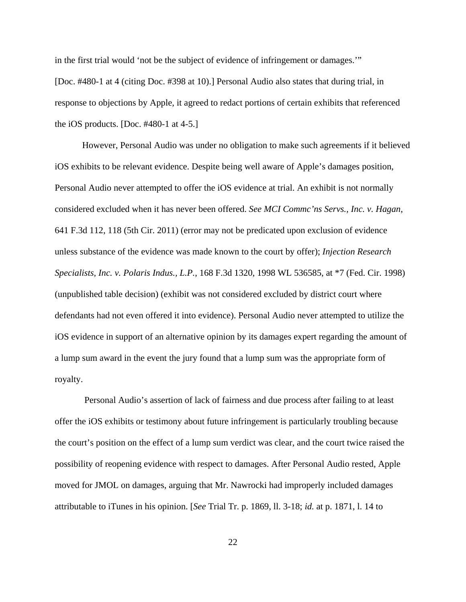in the first trial would 'not be the subject of evidence of infringement or damages.'" [Doc. #480-1 at 4 (citing Doc. #398 at 10).] Personal Audio also states that during trial, in response to objections by Apple, it agreed to redact portions of certain exhibits that referenced the iOS products. [Doc. #480-1 at 4-5.]

However, Personal Audio was under no obligation to make such agreements if it believed iOS exhibits to be relevant evidence. Despite being well aware of Apple's damages position, Personal Audio never attempted to offer the iOS evidence at trial. An exhibit is not normally considered excluded when it has never been offered. *See MCI Commc'ns Servs., Inc. v. Hagan*, 641 F.3d 112, 118 (5th Cir. 2011) (error may not be predicated upon exclusion of evidence unless substance of the evidence was made known to the court by offer); *Injection Research Specialists, Inc. v. Polaris Indus., L.P.*, 168 F.3d 1320, 1998 WL 536585, at \*7 (Fed. Cir. 1998) (unpublished table decision) (exhibit was not considered excluded by district court where defendants had not even offered it into evidence). Personal Audio never attempted to utilize the iOS evidence in support of an alternative opinion by its damages expert regarding the amount of a lump sum award in the event the jury found that a lump sum was the appropriate form of royalty.

 Personal Audio's assertion of lack of fairness and due process after failing to at least offer the iOS exhibits or testimony about future infringement is particularly troubling because the court's position on the effect of a lump sum verdict was clear, and the court twice raised the possibility of reopening evidence with respect to damages. After Personal Audio rested, Apple moved for JMOL on damages, arguing that Mr. Nawrocki had improperly included damages attributable to iTunes in his opinion. [*See* Trial Tr. p. 1869, ll. 3-18; *id.* at p. 1871, l. 14 to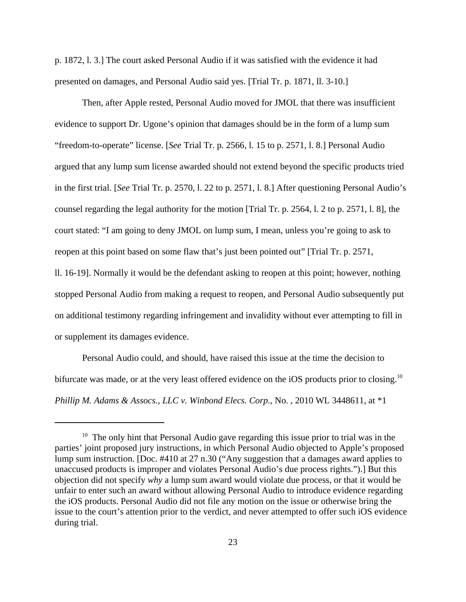p. 1872, l. 3.] The court asked Personal Audio if it was satisfied with the evidence it had presented on damages, and Personal Audio said yes. [Trial Tr. p. 1871, ll. 3-10.]

Then, after Apple rested, Personal Audio moved for JMOL that there was insufficient evidence to support Dr. Ugone's opinion that damages should be in the form of a lump sum "freedom-to-operate" license. [*See* Trial Tr. p. 2566, l. 15 to p. 2571, l. 8.] Personal Audio argued that any lump sum license awarded should not extend beyond the specific products tried in the first trial. [*See* Trial Tr. p. 2570, l. 22 to p. 2571, l. 8.] After questioning Personal Audio's counsel regarding the legal authority for the motion [Trial Tr. p. 2564, l. 2 to p. 2571, l. 8], the court stated: "I am going to deny JMOL on lump sum, I mean, unless you're going to ask to reopen at this point based on some flaw that's just been pointed out" [Trial Tr. p. 2571, ll. 16-19]. Normally it would be the defendant asking to reopen at this point; however, nothing

stopped Personal Audio from making a request to reopen, and Personal Audio subsequently put on additional testimony regarding infringement and invalidity without ever attempting to fill in or supplement its damages evidence.

Personal Audio could, and should, have raised this issue at the time the decision to bifurcate was made, or at the very least offered evidence on the iOS products prior to closing.<sup>10</sup> *Phillip M. Adams & Assocs., LLC v. Winbond Elecs. Corp.*, No. , 2010 WL 3448611, at \*1

<sup>&</sup>lt;sup>10</sup> The only hint that Personal Audio gave regarding this issue prior to trial was in the parties' joint proposed jury instructions, in which Personal Audio objected to Apple's proposed lump sum instruction. [Doc. #410 at 27 n.30 ("Any suggestion that a damages award applies to unaccused products is improper and violates Personal Audio's due process rights.").] But this objection did not specify *why* a lump sum award would violate due process, or that it would be unfair to enter such an award without allowing Personal Audio to introduce evidence regarding the iOS products. Personal Audio did not file any motion on the issue or otherwise bring the issue to the court's attention prior to the verdict, and never attempted to offer such iOS evidence during trial.